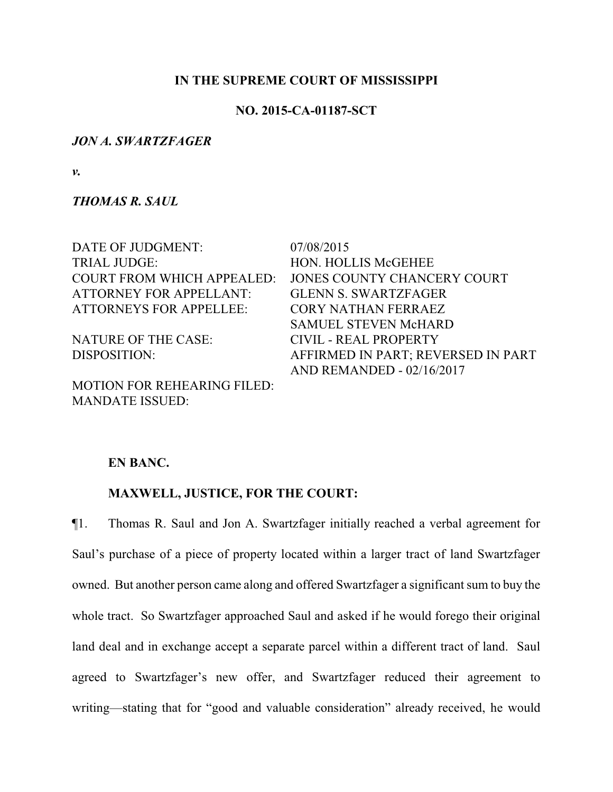## **IN THE SUPREME COURT OF MISSISSIPPI**

## **NO. 2015-CA-01187-SCT**

#### *JON A. SWARTZFAGER*

*v.*

*THOMAS R. SAUL*

| DATE OF JUDGMENT:                  | 07/08/2015                         |
|------------------------------------|------------------------------------|
| <b>TRIAL JUDGE:</b>                | <b>HON. HOLLIS McGEHEE</b>         |
| <b>COURT FROM WHICH APPEALED:</b>  | JONES COUNTY CHANCERY COURT        |
| <b>ATTORNEY FOR APPELLANT:</b>     | <b>GLENN S. SWARTZFAGER</b>        |
| <b>ATTORNEYS FOR APPELLEE:</b>     | <b>CORY NATHAN FERRAEZ</b>         |
|                                    | <b>SAMUEL STEVEN McHARD</b>        |
| <b>NATURE OF THE CASE:</b>         | CIVIL - REAL PROPERTY              |
| DISPOSITION:                       | AFFIRMED IN PART; REVERSED IN PART |
|                                    | AND REMANDED - 02/16/2017          |
| <b>MOTION FOR REHEARING FILED:</b> |                                    |

## **EN BANC.**

MANDATE ISSUED:

### **MAXWELL, JUSTICE, FOR THE COURT:**

¶1. Thomas R. Saul and Jon A. Swartzfager initially reached a verbal agreement for Saul's purchase of a piece of property located within a larger tract of land Swartzfager owned. But another person came along and offered Swartzfager a significant sum to buy the whole tract. So Swartzfager approached Saul and asked if he would forego their original land deal and in exchange accept a separate parcel within a different tract of land. Saul agreed to Swartzfager's new offer, and Swartzfager reduced their agreement to writing—stating that for "good and valuable consideration" already received, he would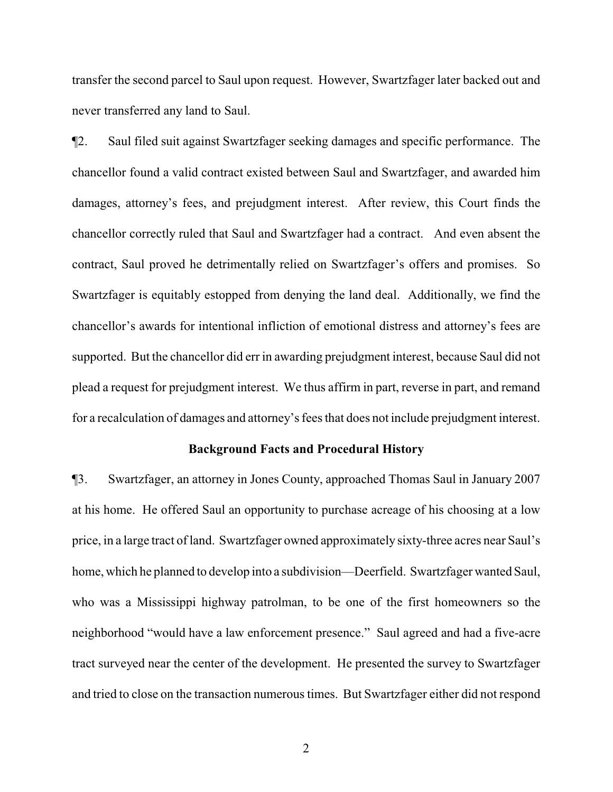transfer the second parcel to Saul upon request. However, Swartzfager later backed out and never transferred any land to Saul.

¶2. Saul filed suit against Swartzfager seeking damages and specific performance. The chancellor found a valid contract existed between Saul and Swartzfager, and awarded him damages, attorney's fees, and prejudgment interest. After review, this Court finds the chancellor correctly ruled that Saul and Swartzfager had a contract. And even absent the contract, Saul proved he detrimentally relied on Swartzfager's offers and promises. So Swartzfager is equitably estopped from denying the land deal. Additionally, we find the chancellor's awards for intentional infliction of emotional distress and attorney's fees are supported. But the chancellor did err in awarding prejudgment interest, because Saul did not plead a request for prejudgment interest. We thus affirm in part, reverse in part, and remand for a recalculation of damages and attorney's fees that does not include prejudgment interest.

### **Background Facts and Procedural History**

¶3. Swartzfager, an attorney in Jones County, approached Thomas Saul in January 2007 at his home. He offered Saul an opportunity to purchase acreage of his choosing at a low price, in a large tract of land. Swartzfager owned approximately sixty-three acres near Saul's home, which he planned to develop into a subdivision—Deerfield. Swartzfager wanted Saul, who was a Mississippi highway patrolman, to be one of the first homeowners so the neighborhood "would have a law enforcement presence." Saul agreed and had a five-acre tract surveyed near the center of the development. He presented the survey to Swartzfager and tried to close on the transaction numerous times. But Swartzfager either did not respond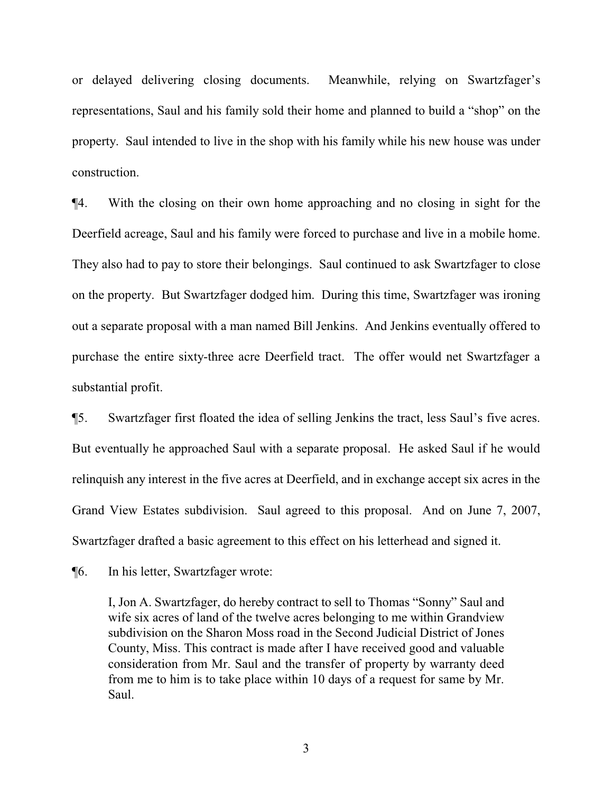or delayed delivering closing documents. Meanwhile, relying on Swartzfager's representations, Saul and his family sold their home and planned to build a "shop" on the property. Saul intended to live in the shop with his family while his new house was under construction.

¶4. With the closing on their own home approaching and no closing in sight for the Deerfield acreage, Saul and his family were forced to purchase and live in a mobile home. They also had to pay to store their belongings. Saul continued to ask Swartzfager to close on the property. But Swartzfager dodged him. During this time, Swartzfager was ironing out a separate proposal with a man named Bill Jenkins. And Jenkins eventually offered to purchase the entire sixty-three acre Deerfield tract. The offer would net Swartzfager a substantial profit.

¶5. Swartzfager first floated the idea of selling Jenkins the tract, less Saul's five acres. But eventually he approached Saul with a separate proposal. He asked Saul if he would relinquish any interest in the five acres at Deerfield, and in exchange accept six acres in the Grand View Estates subdivision. Saul agreed to this proposal. And on June 7, 2007, Swartzfager drafted a basic agreement to this effect on his letterhead and signed it.

¶6. In his letter, Swartzfager wrote:

I, Jon A. Swartzfager, do hereby contract to sell to Thomas "Sonny" Saul and wife six acres of land of the twelve acres belonging to me within Grandview subdivision on the Sharon Moss road in the Second Judicial District of Jones County, Miss. This contract is made after I have received good and valuable consideration from Mr. Saul and the transfer of property by warranty deed from me to him is to take place within 10 days of a request for same by Mr. Saul.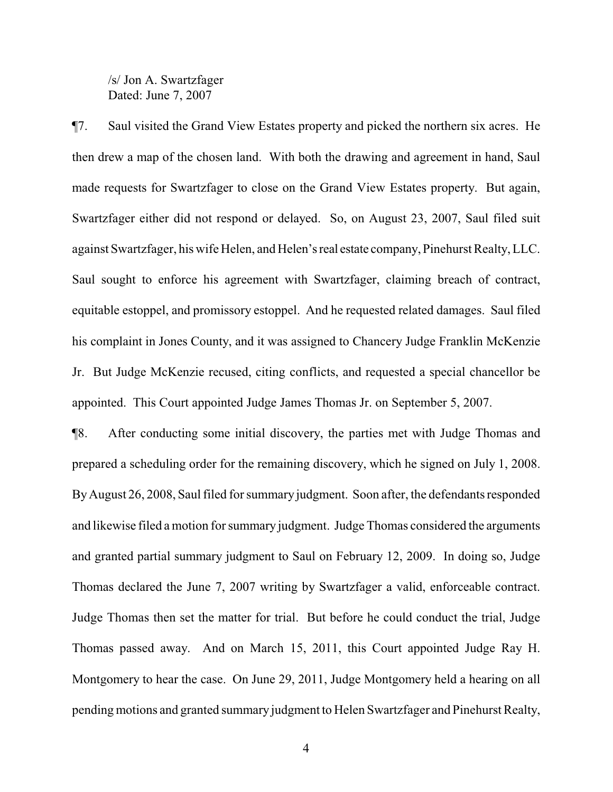/s/ Jon A. Swartzfager Dated: June 7, 2007

¶7. Saul visited the Grand View Estates property and picked the northern six acres. He then drew a map of the chosen land. With both the drawing and agreement in hand, Saul made requests for Swartzfager to close on the Grand View Estates property. But again, Swartzfager either did not respond or delayed. So, on August 23, 2007, Saul filed suit against Swartzfager, his wife Helen, and Helen'sreal estate company, Pinehurst Realty, LLC. Saul sought to enforce his agreement with Swartzfager, claiming breach of contract, equitable estoppel, and promissory estoppel. And he requested related damages. Saul filed his complaint in Jones County, and it was assigned to Chancery Judge Franklin McKenzie Jr. But Judge McKenzie recused, citing conflicts, and requested a special chancellor be appointed. This Court appointed Judge James Thomas Jr. on September 5, 2007.

¶8. After conducting some initial discovery, the parties met with Judge Thomas and prepared a scheduling order for the remaining discovery, which he signed on July 1, 2008. ByAugust 26, 2008, Saul filed for summary judgment. Soon after, the defendants responded and likewise filed a motion for summary judgment. Judge Thomas considered the arguments and granted partial summary judgment to Saul on February 12, 2009. In doing so, Judge Thomas declared the June 7, 2007 writing by Swartzfager a valid, enforceable contract. Judge Thomas then set the matter for trial. But before he could conduct the trial, Judge Thomas passed away. And on March 15, 2011, this Court appointed Judge Ray H. Montgomery to hear the case. On June 29, 2011, Judge Montgomery held a hearing on all pending motions and granted summary judgment to Helen Swartzfager and Pinehurst Realty,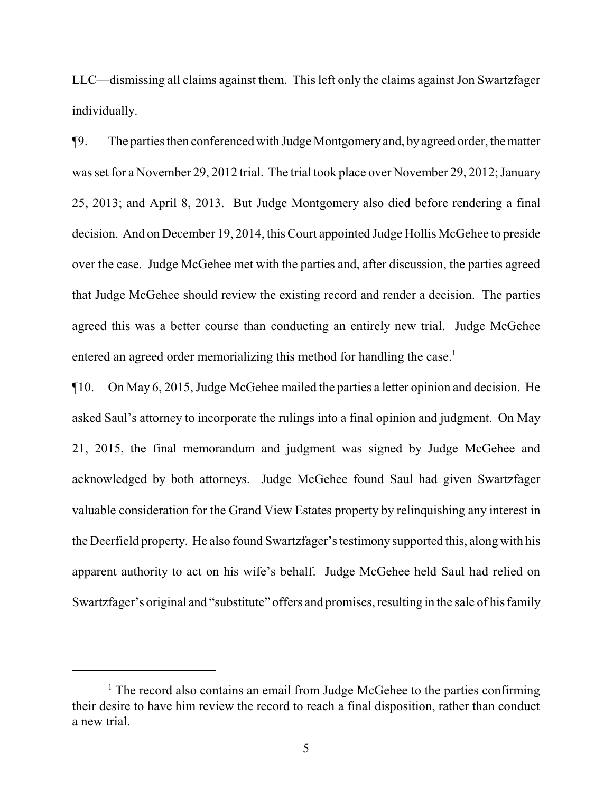LLC—dismissing all claims against them. This left only the claims against Jon Swartzfager individually.

¶9. The parties then conferenced with Judge Montgomeryand, byagreed order, thematter was set for a November 29, 2012 trial. The trial took place over November 29, 2012; January 25, 2013; and April 8, 2013. But Judge Montgomery also died before rendering a final decision. And on December 19, 2014, this Court appointed Judge Hollis McGehee to preside over the case. Judge McGehee met with the parties and, after discussion, the parties agreed that Judge McGehee should review the existing record and render a decision. The parties agreed this was a better course than conducting an entirely new trial. Judge McGehee entered an agreed order memorializing this method for handling the case.<sup>1</sup>

¶10. On May 6, 2015, Judge McGehee mailed the parties a letter opinion and decision. He asked Saul's attorney to incorporate the rulings into a final opinion and judgment. On May 21, 2015, the final memorandum and judgment was signed by Judge McGehee and acknowledged by both attorneys. Judge McGehee found Saul had given Swartzfager valuable consideration for the Grand View Estates property by relinquishing any interest in the Deerfield property. He also found Swartzfager's testimony supported this, along with his apparent authority to act on his wife's behalf. Judge McGehee held Saul had relied on Swartzfager's original and "substitute" offers and promises, resulting in the sale of his family

 $<sup>1</sup>$  The record also contains an email from Judge McGehee to the parties confirming</sup> their desire to have him review the record to reach a final disposition, rather than conduct a new trial.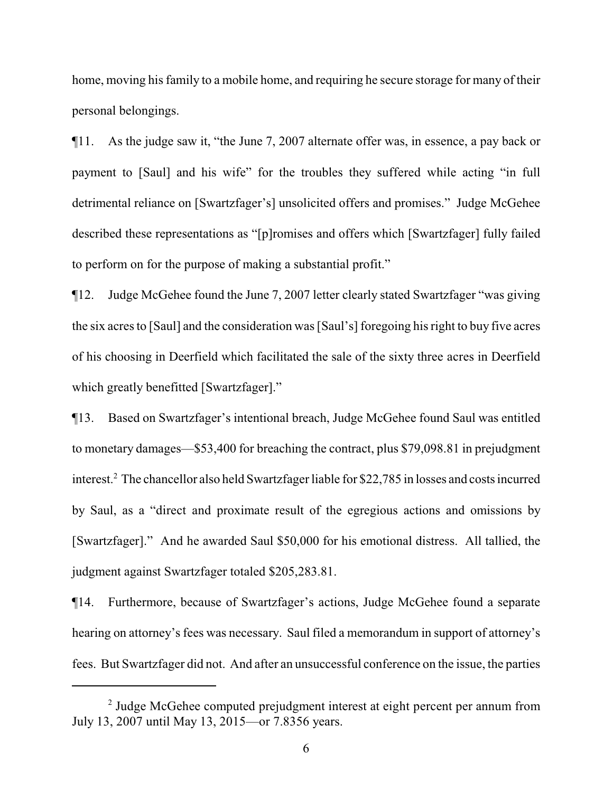home, moving his family to a mobile home, and requiring he secure storage for many of their personal belongings.

¶11. As the judge saw it, "the June 7, 2007 alternate offer was, in essence, a pay back or payment to [Saul] and his wife" for the troubles they suffered while acting "in full detrimental reliance on [Swartzfager's] unsolicited offers and promises." Judge McGehee described these representations as "[p]romises and offers which [Swartzfager] fully failed to perform on for the purpose of making a substantial profit."

¶12. Judge McGehee found the June 7, 2007 letter clearly stated Swartzfager "was giving the six acres to [Saul] and the consideration was [Saul's] foregoing his right to buy five acres of his choosing in Deerfield which facilitated the sale of the sixty three acres in Deerfield which greatly benefitted [Swartzfager]."

¶13. Based on Swartzfager's intentional breach, Judge McGehee found Saul was entitled to monetary damages—\$53,400 for breaching the contract, plus \$79,098.81 in prejudgment interest.<sup>2</sup> The chancellor also held Swartzfager liable for \$22,785 in losses and costs incurred by Saul, as a "direct and proximate result of the egregious actions and omissions by [Swartzfager]." And he awarded Saul \$50,000 for his emotional distress. All tallied, the judgment against Swartzfager totaled \$205,283.81.

¶14. Furthermore, because of Swartzfager's actions, Judge McGehee found a separate hearing on attorney's fees was necessary. Saul filed a memorandum in support of attorney's fees. But Swartzfager did not. And after an unsuccessful conference on the issue, the parties

<sup>&</sup>lt;sup>2</sup> Judge McGehee computed prejudgment interest at eight percent per annum from July 13, 2007 until May 13, 2015—or 7.8356 years.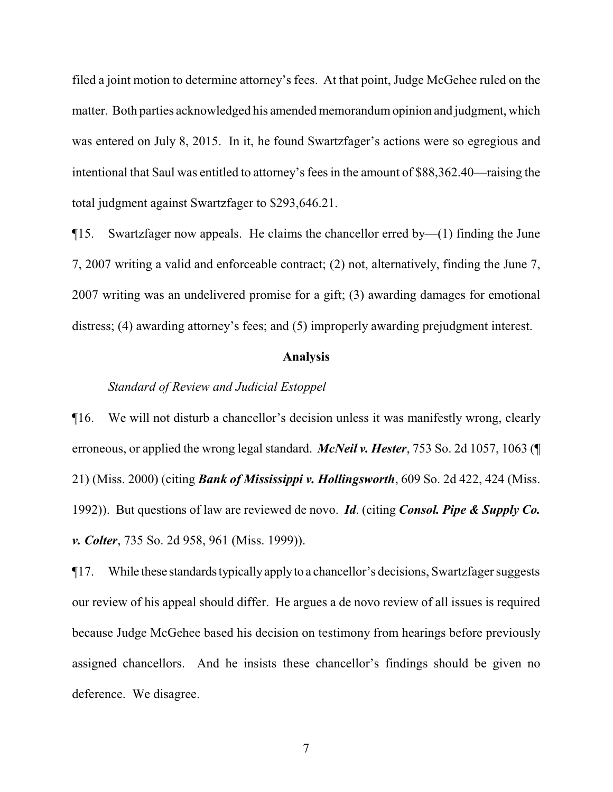filed a joint motion to determine attorney's fees. At that point, Judge McGehee ruled on the matter. Both parties acknowledged his amended memorandumopinion and judgment, which was entered on July 8, 2015. In it, he found Swartzfager's actions were so egregious and intentional that Saul was entitled to attorney's fees in the amount of \$88,362.40—raising the total judgment against Swartzfager to \$293,646.21.

 $\P$ 15. Swartzfager now appeals. He claims the chancellor erred by—(1) finding the June 7, 2007 writing a valid and enforceable contract; (2) not, alternatively, finding the June 7, 2007 writing was an undelivered promise for a gift; (3) awarding damages for emotional distress; (4) awarding attorney's fees; and (5) improperly awarding prejudgment interest.

#### **Analysis**

## *Standard of Review and Judicial Estoppel*

¶16. We will not disturb a chancellor's decision unless it was manifestly wrong, clearly erroneous, or applied the wrong legal standard. *McNeil v. Hester*, 753 So. 2d 1057, 1063 (¶ 21) (Miss. 2000) (citing *Bank of Mississippi v. Hollingsworth*, 609 So. 2d 422, 424 (Miss. 1992)). But questions of law are reviewed de novo. *Id*. (citing *Consol. Pipe & Supply Co. v. Colter*, 735 So. 2d 958, 961 (Miss. 1999)).

¶17. While these standardstypicallyapplyto a chancellor's decisions, Swartzfager suggests our review of his appeal should differ. He argues a de novo review of all issues is required because Judge McGehee based his decision on testimony from hearings before previously assigned chancellors. And he insists these chancellor's findings should be given no deference. We disagree.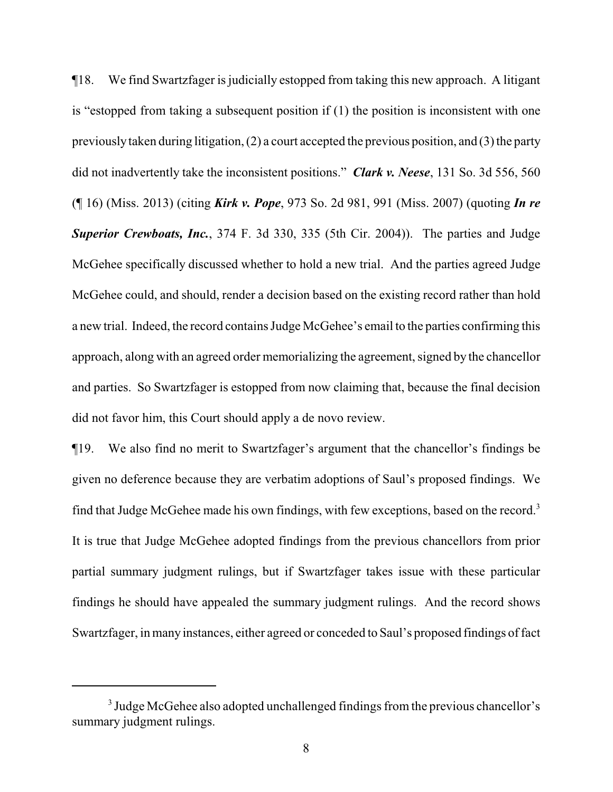¶18. We find Swartzfager is judicially estopped from taking this new approach. A litigant is "estopped from taking a subsequent position if (1) the position is inconsistent with one previouslytaken during litigation, (2) a court accepted the previous position, and (3) the party did not inadvertently take the inconsistent positions." *Clark v. Neese*, 131 So. 3d 556, 560 (¶ 16) (Miss. 2013) (citing *Kirk v. Pope*, 973 So. 2d 981, 991 (Miss. 2007) (quoting *In re Superior Crewboats, Inc.*, 374 F. 3d 330, 335 (5th Cir. 2004)). The parties and Judge McGehee specifically discussed whether to hold a new trial. And the parties agreed Judge McGehee could, and should, render a decision based on the existing record rather than hold a new trial. Indeed, the record contains Judge McGehee's email to the parties confirming this approach, along with an agreed order memorializing the agreement, signed by the chancellor and parties. So Swartzfager is estopped from now claiming that, because the final decision did not favor him, this Court should apply a de novo review.

¶19. We also find no merit to Swartzfager's argument that the chancellor's findings be given no deference because they are verbatim adoptions of Saul's proposed findings. We find that Judge McGehee made his own findings, with few exceptions, based on the record.<sup>3</sup> It is true that Judge McGehee adopted findings from the previous chancellors from prior partial summary judgment rulings, but if Swartzfager takes issue with these particular findings he should have appealed the summary judgment rulings. And the record shows Swartzfager, in many instances, either agreed or conceded to Saul's proposed findings of fact

<sup>&</sup>lt;sup>3</sup> Judge McGehee also adopted unchallenged findings from the previous chancellor's summary judgment rulings.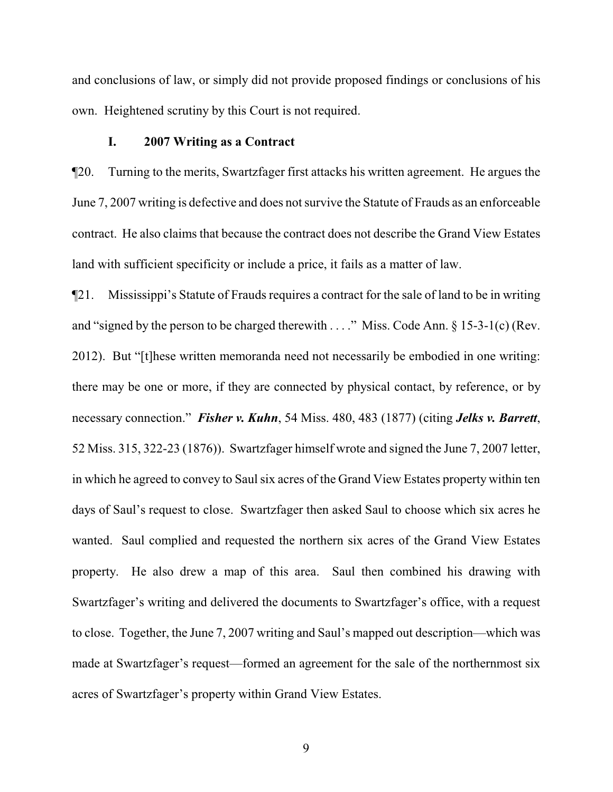and conclusions of law, or simply did not provide proposed findings or conclusions of his own. Heightened scrutiny by this Court is not required.

### **I. 2007 Writing as a Contract**

¶20. Turning to the merits, Swartzfager first attacks his written agreement. He argues the June 7, 2007 writing is defective and does not survive the Statute of Frauds as an enforceable contract. He also claims that because the contract does not describe the Grand View Estates land with sufficient specificity or include a price, it fails as a matter of law.

¶21. Mississippi's Statute of Frauds requires a contract for the sale of land to be in writing and "signed by the person to be charged therewith . . . ." Miss. Code Ann. § 15-3-1(c) (Rev. 2012). But "[t]hese written memoranda need not necessarily be embodied in one writing: there may be one or more, if they are connected by physical contact, by reference, or by necessary connection." *Fisher v. Kuhn*, 54 Miss. 480, 483 (1877) (citing *Jelks v. Barrett*, 52 Miss. 315, 322-23 (1876)). Swartzfager himself wrote and signed the June 7, 2007 letter, in which he agreed to convey to Saul six acres of the Grand View Estates property within ten days of Saul's request to close. Swartzfager then asked Saul to choose which six acres he wanted. Saul complied and requested the northern six acres of the Grand View Estates property. He also drew a map of this area. Saul then combined his drawing with Swartzfager's writing and delivered the documents to Swartzfager's office, with a request to close. Together, the June 7, 2007 writing and Saul's mapped out description—which was made at Swartzfager's request—formed an agreement for the sale of the northernmost six acres of Swartzfager's property within Grand View Estates.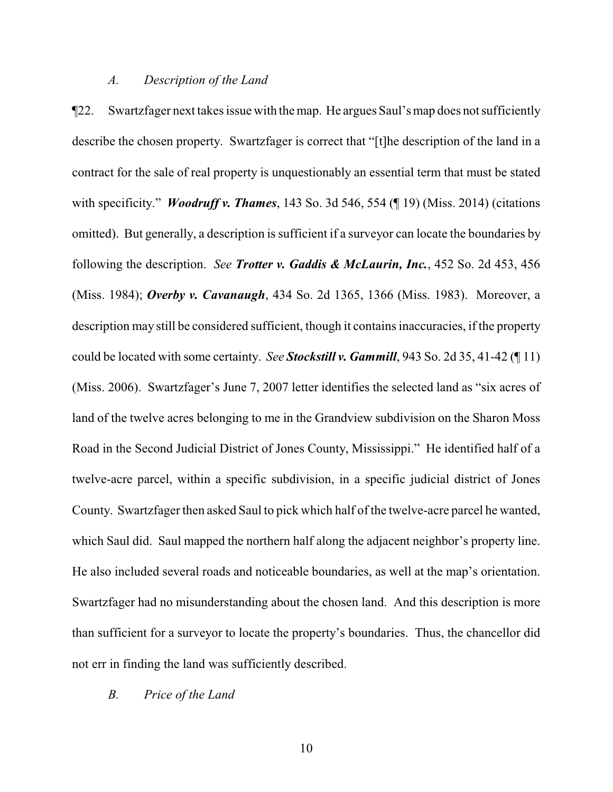### *A. Description of the Land*

¶22. Swartzfager next takes issue with the map. He argues Saul's map does not sufficiently describe the chosen property. Swartzfager is correct that "[t]he description of the land in a contract for the sale of real property is unquestionably an essential term that must be stated with specificity." *Woodruff v. Thames*, 143 So. 3d 546, 554 (¶ 19) (Miss. 2014) (citations omitted). But generally, a description is sufficient if a surveyor can locate the boundaries by following the description. *See Trotter v. Gaddis & McLaurin, Inc.*, 452 So. 2d 453, 456 (Miss. 1984); *Overby v. Cavanaugh*, 434 So. 2d 1365, 1366 (Miss. 1983). Moreover, a description may still be considered sufficient, though it contains inaccuracies, if the property could be located with some certainty. *See Stockstill v. Gammill*, 943 So. 2d 35, 41-42 (¶ 11) (Miss. 2006). Swartzfager's June 7, 2007 letter identifies the selected land as "six acres of land of the twelve acres belonging to me in the Grandview subdivision on the Sharon Moss Road in the Second Judicial District of Jones County, Mississippi." He identified half of a twelve-acre parcel, within a specific subdivision, in a specific judicial district of Jones County. Swartzfager then asked Saul to pick which half of the twelve-acre parcel he wanted, which Saul did. Saul mapped the northern half along the adjacent neighbor's property line. He also included several roads and noticeable boundaries, as well at the map's orientation. Swartzfager had no misunderstanding about the chosen land. And this description is more than sufficient for a surveyor to locate the property's boundaries. Thus, the chancellor did not err in finding the land was sufficiently described.

*B. Price of the Land*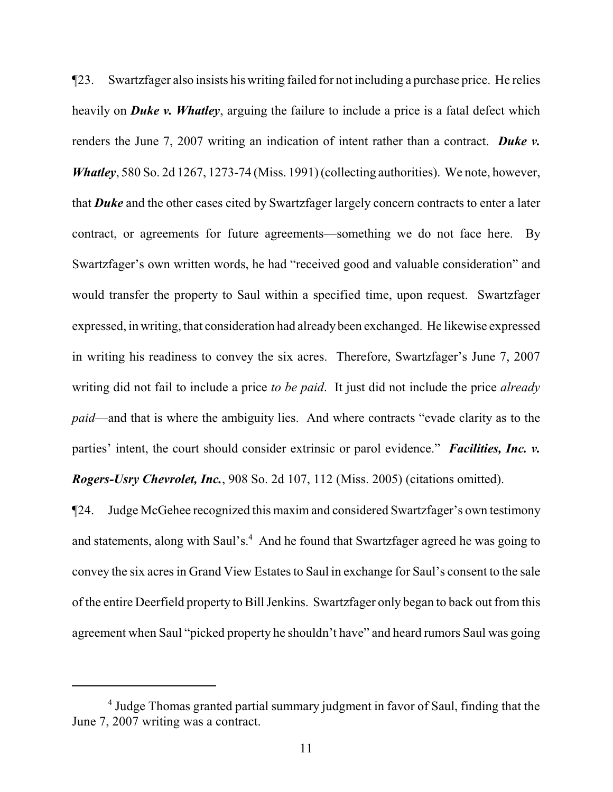¶23. Swartzfager also insists his writing failed for not including a purchase price. He relies heavily on *Duke v. Whatley*, arguing the failure to include a price is a fatal defect which renders the June 7, 2007 writing an indication of intent rather than a contract. *Duke v. Whatley*, 580 So. 2d 1267, 1273-74 (Miss. 1991) (collecting authorities). We note, however, that *Duke* and the other cases cited by Swartzfager largely concern contracts to enter a later contract, or agreements for future agreements—something we do not face here. By Swartzfager's own written words, he had "received good and valuable consideration" and would transfer the property to Saul within a specified time, upon request. Swartzfager expressed, in writing, that consideration had already been exchanged. He likewise expressed in writing his readiness to convey the six acres. Therefore, Swartzfager's June 7, 2007 writing did not fail to include a price *to be paid*. It just did not include the price *already paid*—and that is where the ambiguity lies. And where contracts "evade clarity as to the parties' intent, the court should consider extrinsic or parol evidence." *Facilities, Inc. v. Rogers-Usry Chevrolet, Inc.*, 908 So. 2d 107, 112 (Miss. 2005) (citations omitted).

¶24. Judge McGehee recognized this maxim and considered Swartzfager's own testimony and statements, along with Saul's.<sup>4</sup> And he found that Swartzfager agreed he was going to convey the six acres in Grand View Estates to Saul in exchange for Saul's consent to the sale of the entire Deerfield property to Bill Jenkins. Swartzfager only began to back out from this agreement when Saul "picked property he shouldn't have" and heard rumors Saul was going

<sup>&</sup>lt;sup>4</sup> Judge Thomas granted partial summary judgment in favor of Saul, finding that the June 7, 2007 writing was a contract.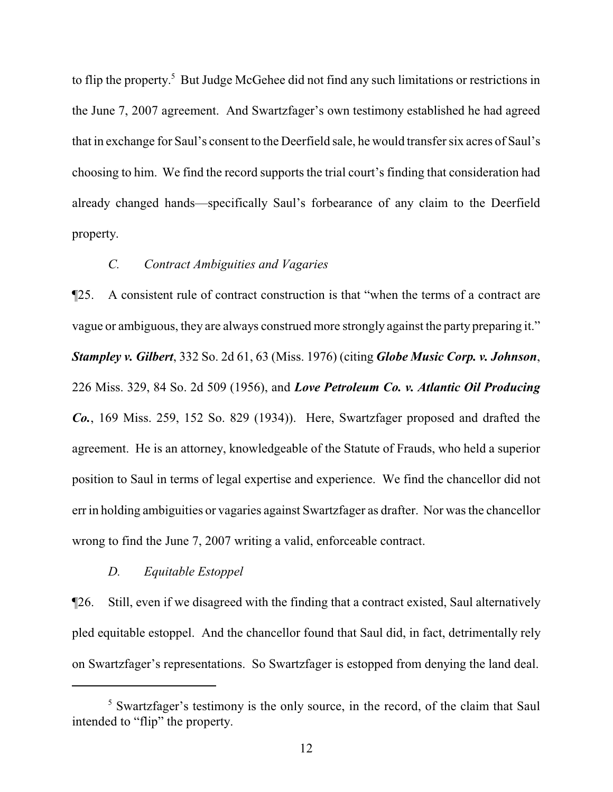to flip the property. <sup>5</sup> But Judge McGehee did not find any such limitations or restrictions in the June 7, 2007 agreement. And Swartzfager's own testimony established he had agreed that in exchange for Saul's consent to the Deerfield sale, he would transfer six acres of Saul's choosing to him. We find the record supports the trial court's finding that consideration had already changed hands—specifically Saul's forbearance of any claim to the Deerfield property.

## *C. Contract Ambiguities and Vagaries*

¶25. A consistent rule of contract construction is that "when the terms of a contract are vague or ambiguous, they are always construed more strongly against the party preparing it." *Stampley v. Gilbert*, 332 So. 2d 61, 63 (Miss. 1976) (citing *Globe Music Corp. v. Johnson*, 226 Miss. 329, 84 So. 2d 509 (1956), and *Love Petroleum Co. v. Atlantic Oil Producing Co.*, 169 Miss. 259, 152 So. 829 (1934)). Here, Swartzfager proposed and drafted the agreement. He is an attorney, knowledgeable of the Statute of Frauds, who held a superior position to Saul in terms of legal expertise and experience. We find the chancellor did not err in holding ambiguities or vagaries against Swartzfager as drafter. Nor was the chancellor wrong to find the June 7, 2007 writing a valid, enforceable contract.

## *D. Equitable Estoppel*

¶26. Still, even if we disagreed with the finding that a contract existed, Saul alternatively pled equitable estoppel. And the chancellor found that Saul did, in fact, detrimentally rely on Swartzfager's representations. So Swartzfager is estopped from denying the land deal.

<sup>&</sup>lt;sup>5</sup> Swartzfager's testimony is the only source, in the record, of the claim that Saul intended to "flip" the property.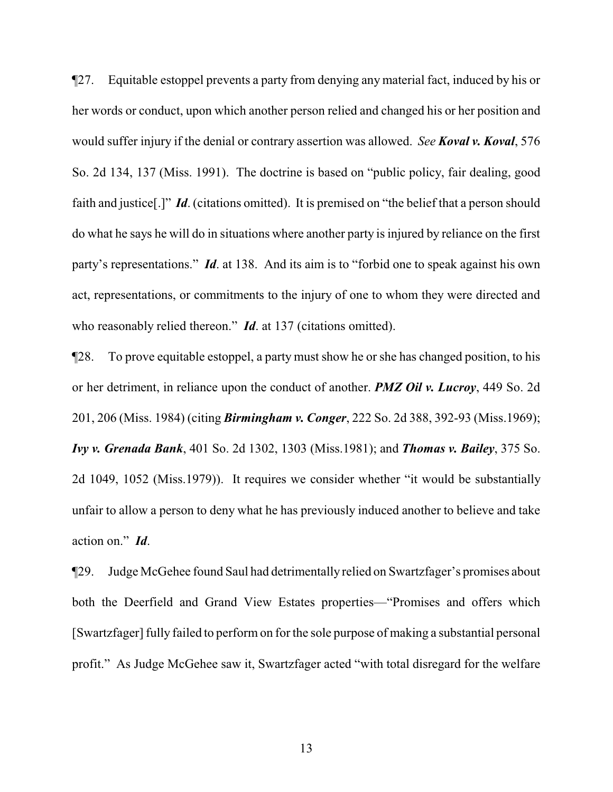¶27. Equitable estoppel prevents a party from denying any material fact, induced by his or her words or conduct, upon which another person relied and changed his or her position and would suffer injury if the denial or contrary assertion was allowed. *See Koval v. Koval*, 576 So. 2d 134, 137 (Miss. 1991). The doctrine is based on "public policy, fair dealing, good faith and justice[.]" *Id*. (citations omitted). It is premised on "the belief that a person should do what he says he will do in situations where another party is injured by reliance on the first party's representations." *Id*. at 138. And its aim is to "forbid one to speak against his own act, representations, or commitments to the injury of one to whom they were directed and who reasonably relied thereon." *Id*. at 137 (citations omitted).

¶28. To prove equitable estoppel, a party must show he or she has changed position, to his or her detriment, in reliance upon the conduct of another. *PMZ Oil v. Lucroy*, 449 So. 2d 201, 206 (Miss. 1984) (citing *Birmingham v. Conger*, 222 So. 2d 388, 392-93 (Miss.1969); *Ivy v. Grenada Bank*, 401 So. 2d 1302, 1303 (Miss.1981); and *Thomas v. Bailey*, 375 So. 2d 1049, 1052 (Miss.1979)). It requires we consider whether "it would be substantially unfair to allow a person to deny what he has previously induced another to believe and take action on." *Id*.

¶29. Judge McGehee found Saul had detrimentally relied on Swartzfager's promises about both the Deerfield and Grand View Estates properties—"Promises and offers which [Swartzfager] fully failed to perform on for the sole purpose of making a substantial personal profit." As Judge McGehee saw it, Swartzfager acted "with total disregard for the welfare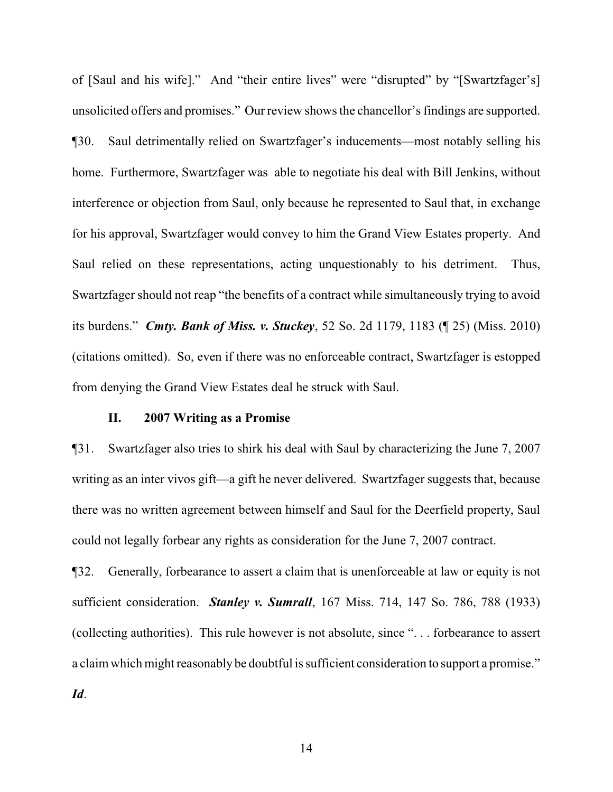of [Saul and his wife]." And "their entire lives" were "disrupted" by "[Swartzfager's] unsolicited offers and promises." Our review shows the chancellor's findings are supported. ¶30. Saul detrimentally relied on Swartzfager's inducements—most notably selling his home. Furthermore, Swartzfager was able to negotiate his deal with Bill Jenkins, without interference or objection from Saul, only because he represented to Saul that, in exchange for his approval, Swartzfager would convey to him the Grand View Estates property. And Saul relied on these representations, acting unquestionably to his detriment. Thus, Swartzfager should not reap "the benefits of a contract while simultaneously trying to avoid its burdens." *Cmty. Bank of Miss. v. Stuckey*, 52 So. 2d 1179, 1183 (¶ 25) (Miss. 2010) (citations omitted). So, even if there was no enforceable contract, Swartzfager is estopped from denying the Grand View Estates deal he struck with Saul.

### **II. 2007 Writing as a Promise**

¶31. Swartzfager also tries to shirk his deal with Saul by characterizing the June 7, 2007 writing as an inter vivos gift—a gift he never delivered. Swartzfager suggests that, because there was no written agreement between himself and Saul for the Deerfield property, Saul could not legally forbear any rights as consideration for the June 7, 2007 contract.

¶32. Generally, forbearance to assert a claim that is unenforceable at law or equity is not sufficient consideration. *Stanley v. Sumrall*, 167 Miss. 714, 147 So. 786, 788 (1933) (collecting authorities). This rule however is not absolute, since ". . . forbearance to assert a claimwhich might reasonably be doubtful is sufficient consideration to support a promise." *Id*.

14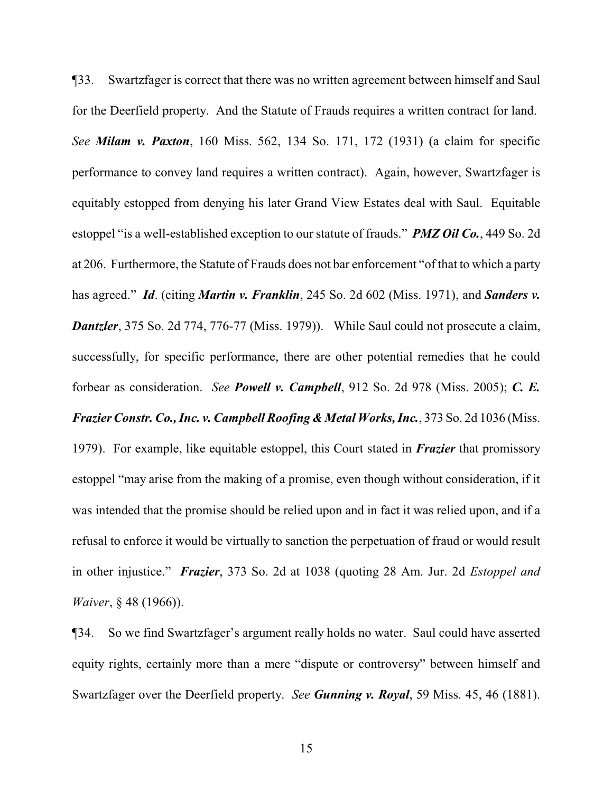¶33. Swartzfager is correct that there was no written agreement between himself and Saul for the Deerfield property. And the Statute of Frauds requires a written contract for land. *See Milam v. Paxton*, 160 Miss. 562, 134 So. 171, 172 (1931) (a claim for specific performance to convey land requires a written contract). Again, however, Swartzfager is equitably estopped from denying his later Grand View Estates deal with Saul. Equitable estoppel "is a well-established exception to our statute of frauds." *PMZ Oil Co.*, 449 So. 2d at 206. Furthermore, the Statute of Frauds does not bar enforcement "of that to which a party has agreed." *Id*. (citing *Martin v. Franklin*, 245 So. 2d 602 (Miss. 1971), and *Sanders v. Dantzler*, 375 So. 2d 774, 776-77 (Miss. 1979)). While Saul could not prosecute a claim, successfully, for specific performance, there are other potential remedies that he could forbear as consideration. *See Powell v. Campbell*, 912 So. 2d 978 (Miss. 2005); *C. E. Frazier Constr. Co., Inc. v. Campbell Roofing & Metal Works, Inc.*, 373 So. 2d 1036 (Miss. 1979). For example, like equitable estoppel, this Court stated in *Frazier* that promissory estoppel "may arise from the making of a promise, even though without consideration, if it was intended that the promise should be relied upon and in fact it was relied upon, and if a refusal to enforce it would be virtually to sanction the perpetuation of fraud or would result in other injustice." *Frazier*, 373 So. 2d at 1038 (quoting 28 Am. Jur. 2d *Estoppel and Waiver*, § 48 (1966)).

¶34. So we find Swartzfager's argument really holds no water. Saul could have asserted equity rights, certainly more than a mere "dispute or controversy" between himself and Swartzfager over the Deerfield property. *See Gunning v. Royal*, 59 Miss. 45, 46 (1881).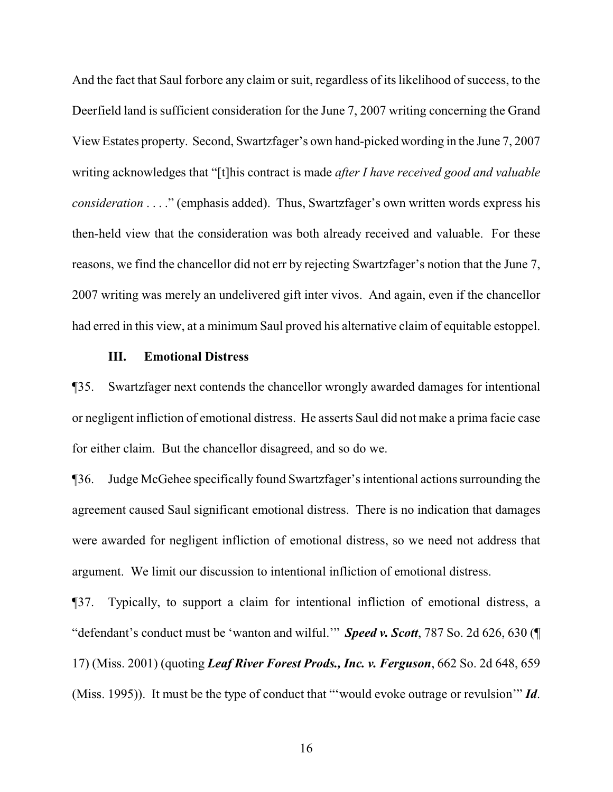And the fact that Saul forbore any claim or suit, regardless of its likelihood of success, to the Deerfield land is sufficient consideration for the June 7, 2007 writing concerning the Grand View Estates property. Second, Swartzfager's own hand-picked wording in the June 7, 2007 writing acknowledges that "[t]his contract is made *after I have received good and valuable consideration* . . . ." (emphasis added). Thus, Swartzfager's own written words express his then-held view that the consideration was both already received and valuable. For these reasons, we find the chancellor did not err by rejecting Swartzfager's notion that the June 7, 2007 writing was merely an undelivered gift inter vivos. And again, even if the chancellor had erred in this view, at a minimum Saul proved his alternative claim of equitable estoppel.

### **III. Emotional Distress**

¶35. Swartzfager next contends the chancellor wrongly awarded damages for intentional or negligent infliction of emotional distress. He asserts Saul did not make a prima facie case for either claim. But the chancellor disagreed, and so do we.

¶36. Judge McGehee specifically found Swartzfager's intentional actions surrounding the agreement caused Saul significant emotional distress. There is no indication that damages were awarded for negligent infliction of emotional distress, so we need not address that argument. We limit our discussion to intentional infliction of emotional distress.

¶37. Typically, to support a claim for intentional infliction of emotional distress, a "defendant's conduct must be 'wanton and wilful.'" *Speed v. Scott*, 787 So. 2d 626, 630 (¶ 17) (Miss. 2001) (quoting *Leaf River Forest Prods., Inc. v. Ferguson*, 662 So. 2d 648, 659 (Miss. 1995)). It must be the type of conduct that "'would evoke outrage or revulsion'" *Id*.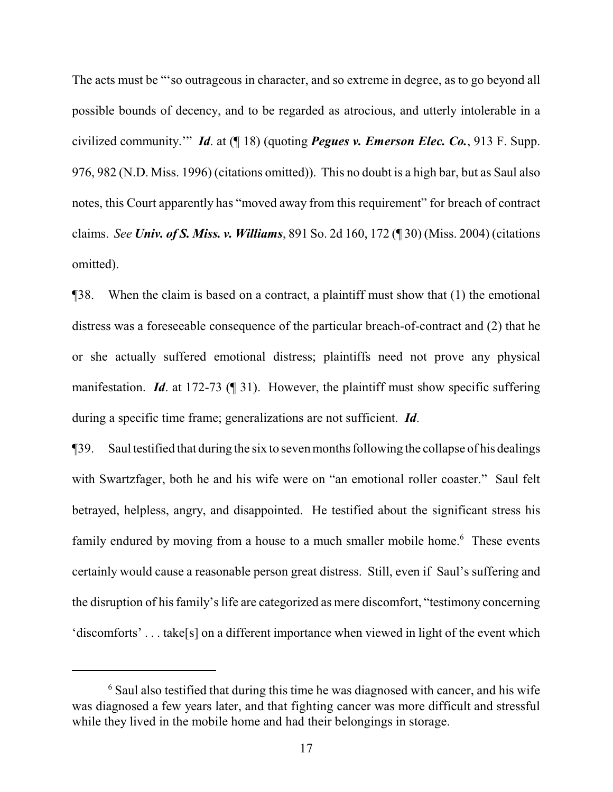The acts must be "'so outrageous in character, and so extreme in degree, as to go beyond all possible bounds of decency, and to be regarded as atrocious, and utterly intolerable in a civilized community.'" *Id*. at (¶ 18) (quoting *Pegues v. Emerson Elec. Co.*, 913 F. Supp. 976, 982 (N.D. Miss. 1996) (citations omitted)). This no doubt is a high bar, but as Saul also notes, this Court apparently has "moved away from this requirement" for breach of contract claims. *See Univ. of S. Miss. v. Williams*, 891 So. 2d 160, 172 (¶ 30) (Miss. 2004) (citations omitted).

¶38. When the claim is based on a contract, a plaintiff must show that (1) the emotional distress was a foreseeable consequence of the particular breach-of-contract and (2) that he or she actually suffered emotional distress; plaintiffs need not prove any physical manifestation. *Id*. at 172-73 (¶ 31). However, the plaintiff must show specific suffering during a specific time frame; generalizations are not sufficient. *Id*.

¶39. Saul testified that during the six to seven months following the collapse of his dealings with Swartzfager, both he and his wife were on "an emotional roller coaster." Saul felt betrayed, helpless, angry, and disappointed. He testified about the significant stress his family endured by moving from a house to a much smaller mobile home.<sup>6</sup> These events certainly would cause a reasonable person great distress. Still, even if Saul's suffering and the disruption of his family's life are categorized as mere discomfort, "testimony concerning 'discomforts' . . . take[s] on a different importance when viewed in light of the event which

 $6$  Saul also testified that during this time he was diagnosed with cancer, and his wife was diagnosed a few years later, and that fighting cancer was more difficult and stressful while they lived in the mobile home and had their belongings in storage.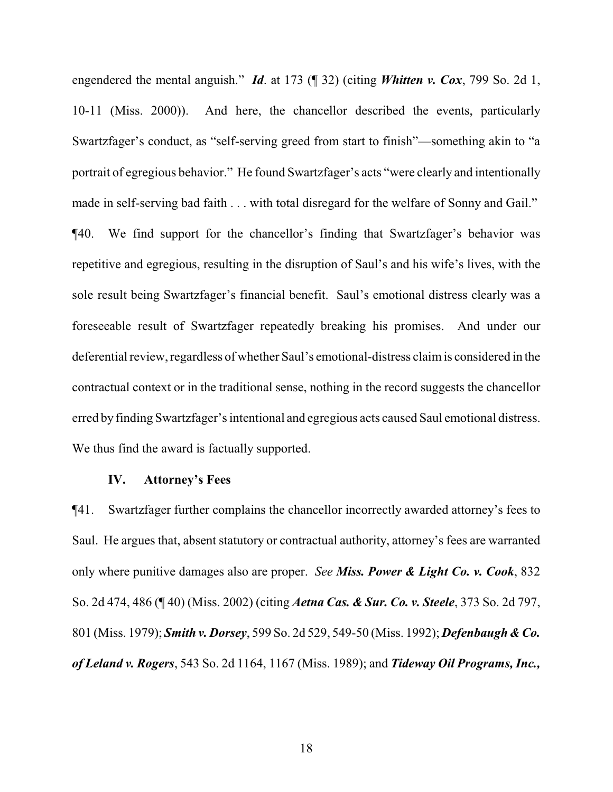engendered the mental anguish." *Id*. at 173 (¶ 32) (citing *Whitten v. Cox*, 799 So. 2d 1, 10-11 (Miss. 2000)). And here, the chancellor described the events, particularly Swartzfager's conduct, as "self-serving greed from start to finish"—something akin to "a portrait of egregious behavior." He found Swartzfager's acts "were clearly and intentionally made in self-serving bad faith . . . with total disregard for the welfare of Sonny and Gail." ¶40. We find support for the chancellor's finding that Swartzfager's behavior was repetitive and egregious, resulting in the disruption of Saul's and his wife's lives, with the sole result being Swartzfager's financial benefit. Saul's emotional distress clearly was a foreseeable result of Swartzfager repeatedly breaking his promises. And under our deferential review, regardless of whether Saul's emotional-distress claimis considered in the contractual context or in the traditional sense, nothing in the record suggests the chancellor erred by finding Swartzfager's intentional and egregious acts caused Saul emotional distress. We thus find the award is factually supported.

### **IV. Attorney's Fees**

¶41. Swartzfager further complains the chancellor incorrectly awarded attorney's fees to Saul. He argues that, absent statutory or contractual authority, attorney's fees are warranted only where punitive damages also are proper. *See Miss. Power & Light Co. v. Cook*, 832 So. 2d 474, 486 (¶ 40) (Miss. 2002) (citing *Aetna Cas. & Sur. Co. v. Steele*, 373 So. 2d 797, 801 (Miss. 1979); *Smith v. Dorsey*, 599 So. 2d 529, 549-50 (Miss. 1992); *Defenbaugh & Co. of Leland v. Rogers*, 543 So. 2d 1164, 1167 (Miss. 1989); and *Tideway Oil Programs, Inc.,*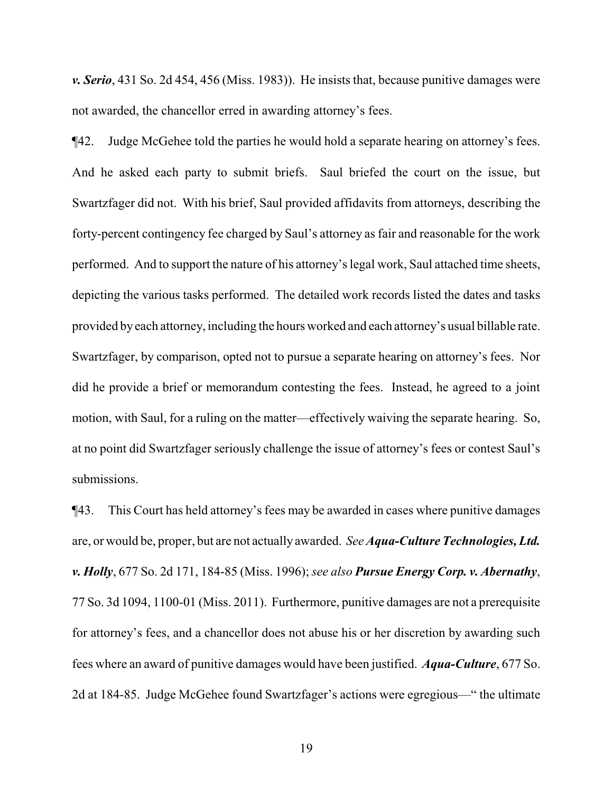*v. Serio*, 431 So. 2d 454, 456 (Miss. 1983)). He insists that, because punitive damages were not awarded, the chancellor erred in awarding attorney's fees.

¶42. Judge McGehee told the parties he would hold a separate hearing on attorney's fees. And he asked each party to submit briefs. Saul briefed the court on the issue, but Swartzfager did not. With his brief, Saul provided affidavits from attorneys, describing the forty-percent contingency fee charged by Saul's attorney as fair and reasonable for the work performed. And to support the nature of his attorney's legal work, Saul attached time sheets, depicting the various tasks performed. The detailed work records listed the dates and tasks provided byeach attorney, including the hours worked and each attorney's usual billable rate. Swartzfager, by comparison, opted not to pursue a separate hearing on attorney's fees. Nor did he provide a brief or memorandum contesting the fees. Instead, he agreed to a joint motion, with Saul, for a ruling on the matter—effectively waiving the separate hearing. So, at no point did Swartzfager seriously challenge the issue of attorney's fees or contest Saul's submissions.

¶43. This Court has held attorney's fees may be awarded in cases where punitive damages are, or would be, proper, but are not actually awarded. *SeeAqua-Culture Technologies, Ltd. v. Holly*, 677 So. 2d 171, 184-85 (Miss. 1996); *see also Pursue Energy Corp. v. Abernathy*, 77 So. 3d 1094, 1100-01 (Miss. 2011). Furthermore, punitive damages are not a prerequisite for attorney's fees, and a chancellor does not abuse his or her discretion by awarding such fees where an award of punitive damages would have been justified. *Aqua-Culture*, 677 So. 2d at 184-85. Judge McGehee found Swartzfager's actions were egregious—" the ultimate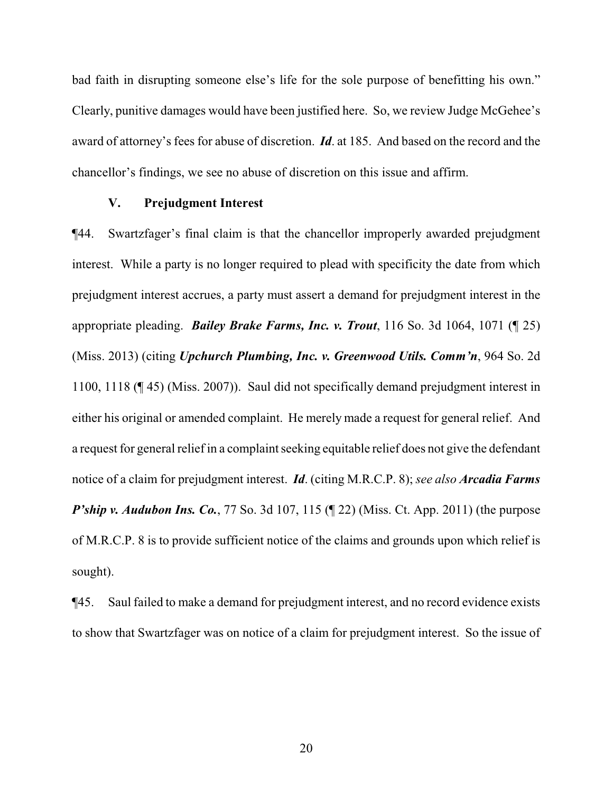bad faith in disrupting someone else's life for the sole purpose of benefitting his own." Clearly, punitive damages would have been justified here. So, we review Judge McGehee's award of attorney's fees for abuse of discretion. *Id*. at 185. And based on the record and the chancellor's findings, we see no abuse of discretion on this issue and affirm.

## **V. Prejudgment Interest**

¶44. Swartzfager's final claim is that the chancellor improperly awarded prejudgment interest. While a party is no longer required to plead with specificity the date from which prejudgment interest accrues, a party must assert a demand for prejudgment interest in the appropriate pleading. *Bailey Brake Farms, Inc. v. Trout*, 116 So. 3d 1064, 1071 (¶ 25) (Miss. 2013) (citing *Upchurch Plumbing, Inc. v. Greenwood Utils. Comm'n*, 964 So. 2d 1100, 1118 (¶ 45) (Miss. 2007)). Saul did not specifically demand prejudgment interest in either his original or amended complaint. He merely made a request for general relief. And a request for general relief in a complaint seeking equitable relief does not give the defendant notice of a claim for prejudgment interest. *Id*. (citing M.R.C.P. 8); *see also Arcadia Farms P'ship v. Audubon Ins. Co.*, 77 So. 3d 107, 115 (¶ 22) (Miss. Ct. App. 2011) (the purpose of M.R.C.P. 8 is to provide sufficient notice of the claims and grounds upon which relief is sought).

¶45. Saul failed to make a demand for prejudgment interest, and no record evidence exists to show that Swartzfager was on notice of a claim for prejudgment interest. So the issue of